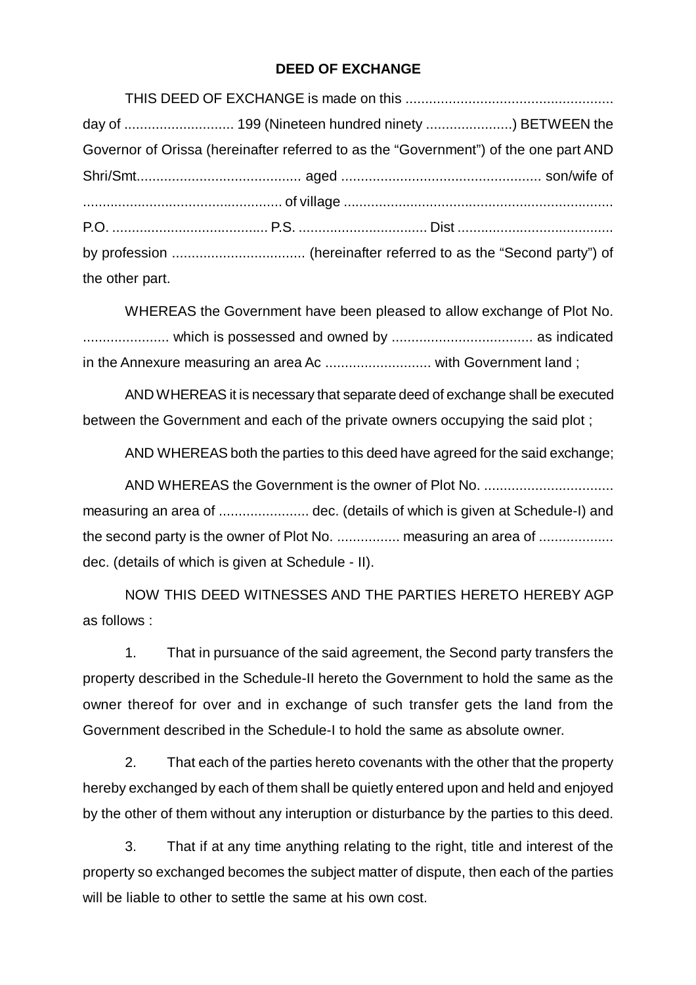## **DEED OF EXCHANGE**

|                 | Governor of Orissa (hereinafter referred to as the "Government") of the one part AND |  |
|-----------------|--------------------------------------------------------------------------------------|--|
|                 |                                                                                      |  |
|                 |                                                                                      |  |
|                 |                                                                                      |  |
|                 |                                                                                      |  |
| the other part. |                                                                                      |  |

WHEREAS the Government have been pleased to allow exchange of Plot No. ...................... which is possessed and owned by .................................... as indicated in the Annexure measuring an area Ac ........................... with Government land ;

AND WHEREAS it is necessary that separate deed of exchange shall be executed between the Government and each of the private owners occupying the said plot ;

AND WHEREAS both the parties to this deed have agreed for the said exchange;

AND WHEREAS the Government is the owner of Plot No. ................................. measuring an area of ................................dec. (details of which is given at Schedule-I) and the second party is the owner of Plot No. ................... measuring an area of ........................... dec. (details of which is given at Schedule - II).

NOW THIS DEED WITNESSES AND THE PARTIES HERETO HEREBY AGP as follows :

1. That in pursuance of the said agreement, the Second party transfers the property described in the Schedule-II hereto the Government to hold the same as the owner thereof for over and in exchange of such transfer gets the land from the Government described in the Schedule-I to hold the same as absolute owner.

2. That each of the parties hereto covenants with the other that the property hereby exchanged by each of them shall be quietly entered upon and held and enjoyed by the other of them without any interuption or disturbance by the parties to this deed.

3. That if at any time anything relating to the right, title and interest of the property so exchanged becomes the subject matter of dispute, then each of the parties will be liable to other to settle the same at his own cost.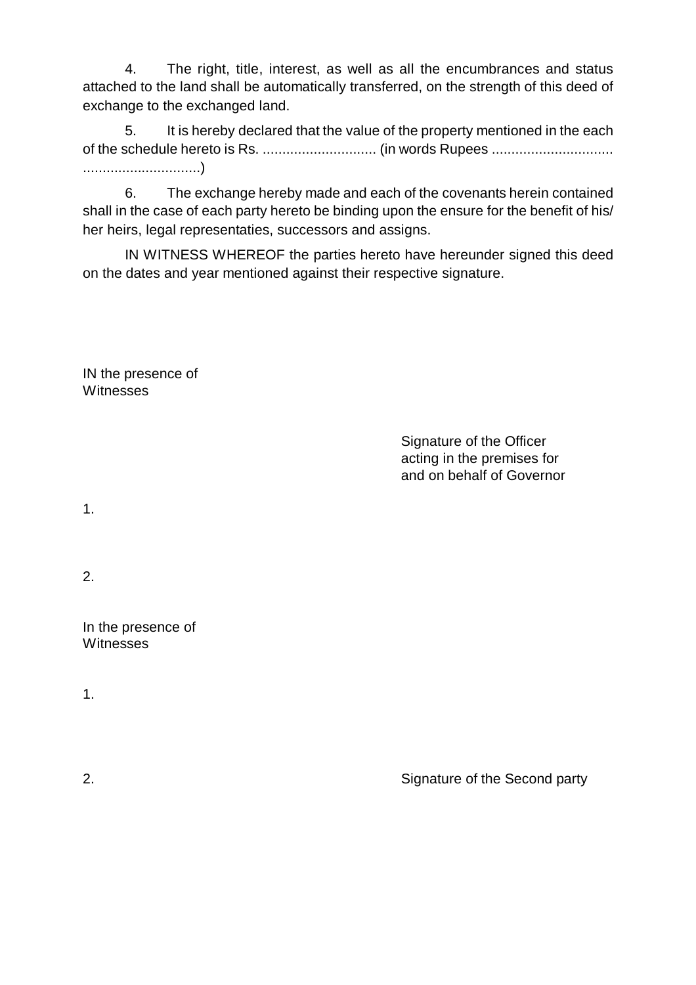4. The right, title, interest, as well as all the encumbrances and status attached to the land shall be automatically transferred, on the strength of this deed of exchange to the exchanged land.

5. It is hereby declared that the value of the property mentioned in the each of the schedule hereto is Rs. ............................. (in words Rupees ............................... ..............................)

6. The exchange hereby made and each of the covenants herein contained shall in the case of each party hereto be binding upon the ensure for the benefit of his/ her heirs, legal representaties, successors and assigns.

IN WITNESS WHEREOF the parties hereto have hereunder signed this deed on the dates and year mentioned against their respective signature.

IN the presence of **Witnesses** 

> Signature of the Officer acting in the premises for and on behalf of Governor

1.

2.

In the presence of Witnesses

1.

2. Signature of the Second party